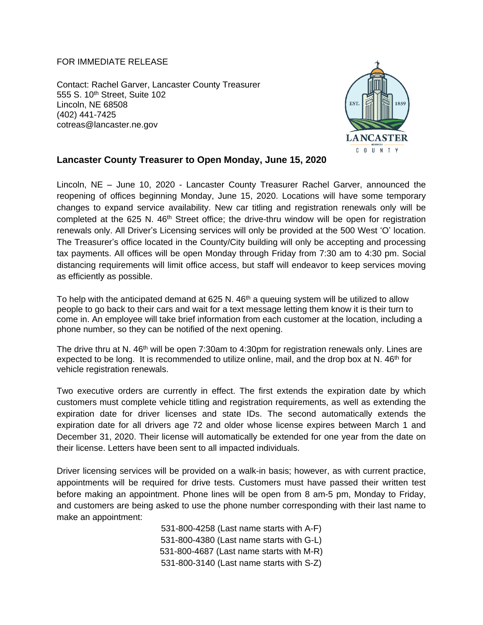## FOR IMMEDIATE RELEASE

Contact: Rachel Garver, Lancaster County Treasurer 555 S. 10<sup>th</sup> Street, Suite 102 Lincoln, NE 68508 (402) 441-7425 cotreas@lancaster.ne.gov



## **Lancaster County Treasurer to Open Monday, June 15, 2020**

Lincoln, NE – June 10, 2020 - Lancaster County Treasurer Rachel Garver, announced the reopening of offices beginning Monday, June 15, 2020. Locations will have some temporary changes to expand service availability. New car titling and registration renewals only will be completed at the 625 N.  $46<sup>th</sup>$  Street office; the drive-thru window will be open for registration renewals only. All Driver's Licensing services will only be provided at the 500 West 'O' location. The Treasurer's office located in the County/City building will only be accepting and processing tax payments. All offices will be open Monday through Friday from 7:30 am to 4:30 pm. Social distancing requirements will limit office access, but staff will endeavor to keep services moving as efficiently as possible.

To help with the anticipated demand at 625 N. 46<sup>th</sup> a queuing system will be utilized to allow people to go back to their cars and wait for a text message letting them know it is their turn to come in. An employee will take brief information from each customer at the location, including a phone number, so they can be notified of the next opening.

The drive thru at N. 46<sup>th</sup> will be open 7:30am to 4:30pm for registration renewals only. Lines are expected to be long. It is recommended to utilize online, mail, and the drop box at N. 46<sup>th</sup> for vehicle registration renewals.

Two executive orders are currently in effect. The first extends the expiration date by which customers must complete vehicle titling and registration requirements, as well as extending the expiration date for driver licenses and state IDs. The second automatically extends the expiration date for all drivers age 72 and older whose license expires between March 1 and December 31, 2020. Their license will automatically be extended for one year from the date on their license. Letters have been sent to all impacted individuals.

Driver licensing services will be provided on a walk-in basis; however, as with current practice, appointments will be required for drive tests. Customers must have passed their written test before making an appointment. Phone lines will be open from 8 am-5 pm, Monday to Friday, and customers are being asked to use the phone number corresponding with their last name to make an appointment:

> 531-800-4258 (Last name starts with A-F) 531-800-4380 (Last name starts with G-L) 531-800-4687 (Last name starts with M-R) 531-800-3140 (Last name starts with S-Z)